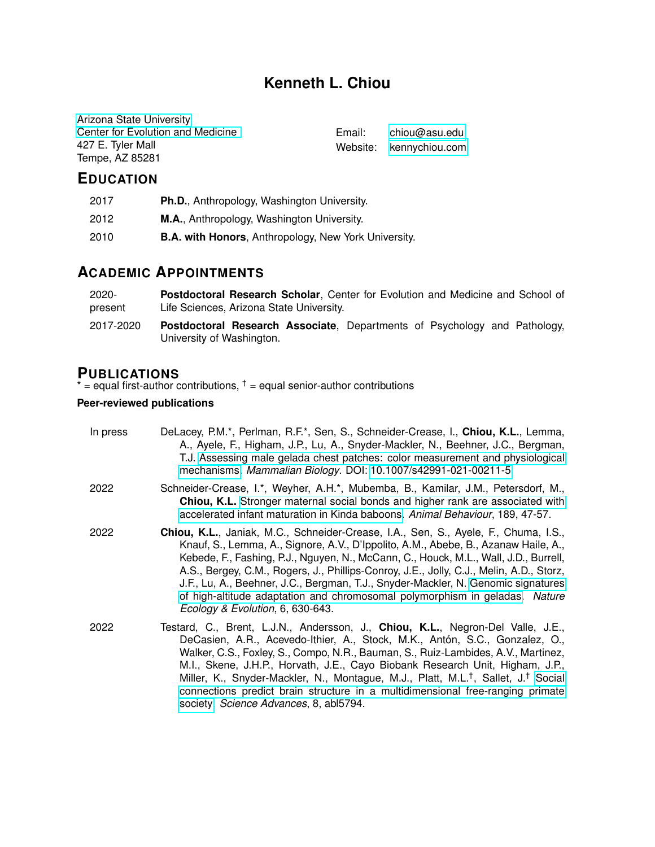# **Kenneth L. Chiou**

[Arizona State University](https://www.asu.edu/) [Center for Evolution and Medicine](https://evmed.asu.edu/) 427 E. Tyler Mall Tempe, AZ 85281

Email: [chiou@asu.edu](mailto:chiou@asu.edu) Website: [kennychiou.com](http://kennychiou.com/)

### **EDUCATION**

| 2017 | Ph.D., Anthropology, Washington University.                 |
|------|-------------------------------------------------------------|
| 2012 | M.A., Anthropology, Washington University.                  |
| 2010 | <b>B.A. with Honors, Anthropology, New York University.</b> |

# **ACADEMIC APPOINTMENTS**

| $2020 -$  | <b>Postdoctoral Research Scholar, Center for Evolution and Medicine and School of</b>                          |
|-----------|----------------------------------------------------------------------------------------------------------------|
| present   | Life Sciences, Arizona State University.                                                                       |
| 2017-2020 | <b>Postdoctoral Research Associate</b> , Departments of Psychology and Pathology,<br>University of Washington. |

#### **PUBLICATIONS**

\*  $=$  equal first-author contributions,  $\dagger$  = equal senior-author contributions

#### **Peer-reviewed publications**

| In press | DeLacey, P.M.*, Perlman, R.F.*, Sen, S., Schneider-Crease, I., Chiou, K.L., Lemma,<br>A., Ayele, F., Higham, J.P., Lu, A., Snyder-Mackler, N., Beehner, J.C., Bergman,<br>T.J. Assessing male gelada chest patches: color measurement and physiological<br>mechanisms. Mammalian Biology. DOI: 10.1007/s42991-021-00211-5.                                                                                                                                                                                                                                                    |
|----------|-------------------------------------------------------------------------------------------------------------------------------------------------------------------------------------------------------------------------------------------------------------------------------------------------------------------------------------------------------------------------------------------------------------------------------------------------------------------------------------------------------------------------------------------------------------------------------|
| 2022     | Schneider-Crease, I.*, Weyher, A.H.*, Mubemba, B., Kamilar, J.M., Petersdorf, M.,<br>Chiou, K.L. Stronger maternal social bonds and higher rank are associated with<br>accelerated infant maturation in Kinda baboons. Animal Behaviour, 189, 47-57.                                                                                                                                                                                                                                                                                                                          |
| 2022     | Chiou, K.L., Janiak, M.C., Schneider-Crease, I.A., Sen, S., Ayele, F., Chuma, I.S.,<br>Knauf, S., Lemma, A., Signore, A.V., D'Ippolito, A.M., Abebe, B., Azanaw Haile, A.,<br>Kebede, F., Fashing, P.J., Nguyen, N., McCann, C., Houck, M.L., Wall, J.D., Burrell,<br>A.S., Bergey, C.M., Rogers, J., Phillips-Conroy, J.E., Jolly, C.J., Melin, A.D., Storz,<br>J.F., Lu, A., Beehner, J.C., Bergman, T.J., Snyder-Mackler, N. Genomic signatures<br>of high-altitude adaptation and chromosomal polymorphism in geladas. Nature<br>Ecology & Evolution, 6, 630-643.         |
| 2022     | Testard, C., Brent, L.J.N., Andersson, J., Chiou, K.L., Negron-Del Valle, J.E.,<br>DeCasien, A.R., Acevedo-Ithier, A., Stock, M.K., Antón, S.C., Gonzalez, O.,<br>Walker, C.S., Foxley, S., Compo, N.R., Bauman, S., Ruiz-Lambides, A.V., Martinez,<br>M.I., Skene, J.H.P., Horvath, J.E., Cayo Biobank Research Unit, Higham, J.P.,<br>Miller, K., Snyder-Mackler, N., Montague, M.J., Platt, M.L. <sup>†</sup> , Sallet, J. <sup>†</sup> Social<br>connections predict brain structure in a multidimensional free-ranging primate<br>society. Science Advances, 8, abl5794. |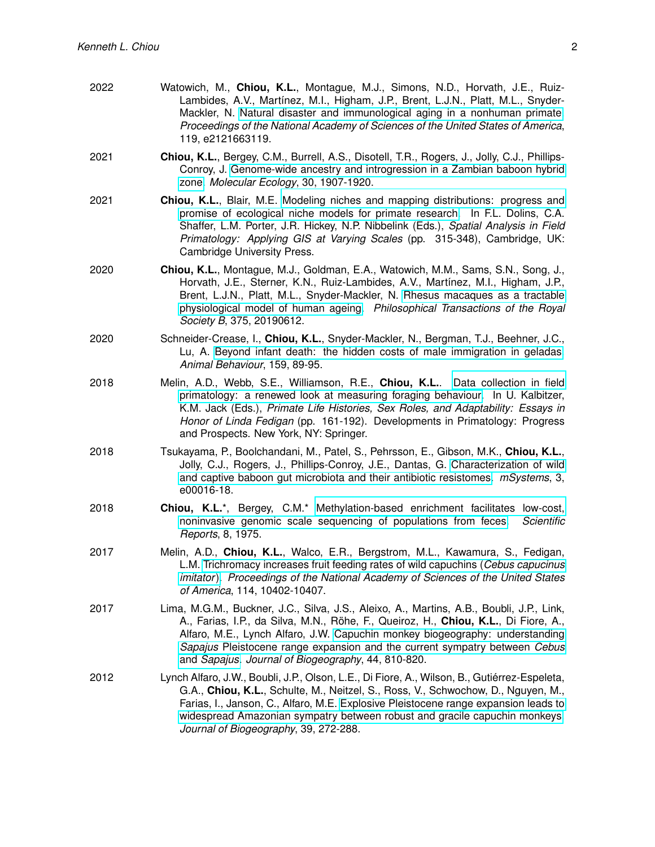| 2022 | Watowich, M., Chiou, K.L., Montague, M.J., Simons, N.D., Horvath, J.E., Ruiz-<br>Lambides, A.V., Martínez, M.I., Higham, J.P., Brent, L.J.N., Platt, M.L., Snyder-<br>Mackler, N. Natural disaster and immunological aging in a nonhuman primate.<br>Proceedings of the National Academy of Sciences of the United States of America,<br>119, e2121663119. |
|------|------------------------------------------------------------------------------------------------------------------------------------------------------------------------------------------------------------------------------------------------------------------------------------------------------------------------------------------------------------|
| 2021 | <b>Chiou, K.L., Bergey, C.M., Burrell, A.S., Disotell, T.R., Rogers, J., Jolly, C.J., Phillips-</b><br>Conroy, J. Genome-wide ancestry and introgression in a Zambian baboon hybrid<br>zone. Molecular Ecology, 30, 1907-1920.                                                                                                                             |
|      |                                                                                                                                                                                                                                                                                                                                                            |

2021 **Chiou, K.L.**, Blair, M.E. [Modeling niches and mapping distributions: progress and](https://doi.org/10.1017/9781107449824.018) [promise of ecological niche models for primate research.](https://doi.org/10.1017/9781107449824.018) In F.L. Dolins, C.A. Shaffer, L.M. Porter, J.R. Hickey, N.P. Nibbelink (Eds.), *Spatial Analysis in Field Primatology: Applying GIS at Varying Scales* (pp. 315-348), Cambridge, UK: Cambridge University Press.

- 2020 **Chiou, K.L.**, Montague, M.J., Goldman, E.A., Watowich, M.M., Sams, S.N., Song, J., Horvath, J.E., Sterner, K.N., Ruiz-Lambides, A.V., Martínez, M.I., Higham, J.P., Brent, L.J.N., Platt, M.L., Snyder-Mackler, N. [Rhesus macaques as a tractable](https://doi.org/10.1098/rstb.2019.0612) [physiological model of human ageing.](https://doi.org/10.1098/rstb.2019.0612) *Philosophical Transactions of the Royal Society B*, 375, 20190612.
- 2020 Schneider-Crease, I., **Chiou, K.L.**, Snyder-Mackler, N., Bergman, T.J., Beehner, J.C., Lu, A. [Beyond infant death: the hidden costs of male immigration in geladas.](https://doi.org/10.1016/j.anbehav.2019.11.010) *Animal Behaviour*, 159, 89-95.
- 2018 Melin, A.D., Webb, S.E., Williamson, R.E., **Chiou, K.L.**. [Data collection in field](https://doi.org/10.1007/978-3-319-98285-4_9) [primatology: a renewed look at measuring foraging behaviour.](https://doi.org/10.1007/978-3-319-98285-4_9) In U. Kalbitzer, K.M. Jack (Eds.), *Primate Life Histories, Sex Roles, and Adaptability: Essays in Honor of Linda Fedigan* (pp. 161-192). Developments in Primatology: Progress and Prospects. New York, NY: Springer.
- 2018 Tsukayama, P., Boolchandani, M., Patel, S., Pehrsson, E., Gibson, M.K., **Chiou, K.L.**, Jolly, C.J., Rogers, J., Phillips-Conroy, J.E., Dantas, G. [Characterization of wild](https://doi.org/10.1128/mSystems.00016-18) [and captive baboon gut microbiota and their antibiotic resistomes.](https://doi.org/10.1128/mSystems.00016-18) *mSystems*, 3, e00016-18.
- 2018 **Chiou, K.L.**\*, Bergey, C.M.\* [Methylation-based enrichment facilitates low-cost,](https://doi.org/10.1038/s41598-018-20427-9) [noninvasive genomic scale sequencing of populations from feces.](https://doi.org/10.1038/s41598-018-20427-9) *Scientific Reports*, 8, 1975.
- 2017 Melin, A.D., **Chiou, K.L.**, Walco, E.R., Bergstrom, M.L., Kawamura, S., Fedigan, L.M. [Trichromacy increases fruit feeding rates of wild capuchins \(](https://doi.org/10.1073/pnas.1705957114)*Cebus capucinus [imitator](https://doi.org/10.1073/pnas.1705957114)*). *Proceedings of the National Academy of Sciences of the United States of America*, 114, 10402-10407.
- 2017 Lima, M.G.M., Buckner, J.C., Silva, J.S., Aleixo, A., Martins, A.B., Boubli, J.P., Link, A., Farias, I.P., da Silva, M.N., Röhe, F., Queiroz, H., Chiou, K.L., Di Fiore, A., Alfaro, M.E., Lynch Alfaro, J.W. [Capuchin monkey biogeography: understanding](https://doi.org/10.1111/jbi.12945) *Sapajus* [Pleistocene range expansion and the current sympatry between](https://doi.org/10.1111/jbi.12945) *Cebus* and *[Sapajus](https://doi.org/10.1111/jbi.12945)*. *Journal of Biogeography*, 44, 810-820.
- 2012 Lynch Alfaro, J.W., Boubli, J.P., Olson, L.E., Di Fiore, A., Wilson, B., Gutierrez-Espeleta, ´ G.A., **Chiou, K.L.**, Schulte, M., Neitzel, S., Ross, V., Schwochow, D., Nguyen, M., Farias, I., Janson, C., Alfaro, M.E. [Explosive Pleistocene range expansion leads to](https://doi.org/10.1111/j.1365-2699.2011.02609.x) [widespread Amazonian sympatry between robust and gracile capuchin monkeys.](https://doi.org/10.1111/j.1365-2699.2011.02609.x) *Journal of Biogeography*, 39, 272-288.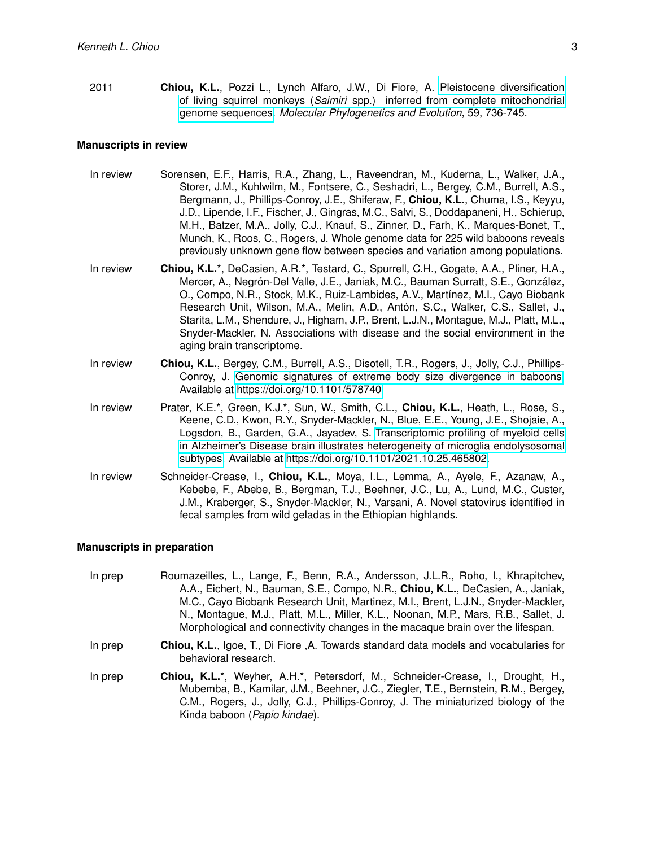2011 **Chiou, K.L.**, Pozzi L., Lynch Alfaro, J.W., Di Fiore, A. [Pleistocene diversification](http://dx.doi.org/10.1016/j.ympev.2011.03.025) of living squirrel monkeys (*Saimiri* [spp.\) inferred from complete mitochondrial](http://dx.doi.org/10.1016/j.ympev.2011.03.025) [genome sequences.](http://dx.doi.org/10.1016/j.ympev.2011.03.025) *Molecular Phylogenetics and Evolution*, 59, 736-745.

#### **Manuscripts in review**

- In review Sorensen, E.F., Harris, R.A., Zhang, L., Raveendran, M., Kuderna, L., Walker, J.A., Storer, J.M., Kuhlwilm, M., Fontsere, C., Seshadri, L., Bergey, C.M., Burrell, A.S., Bergmann, J., Phillips-Conroy, J.E., Shiferaw, F., **Chiou, K.L.**, Chuma, I.S., Keyyu, J.D., Lipende, I.F., Fischer, J., Gingras, M.C., Salvi, S., Doddapaneni, H., Schierup, M.H., Batzer, M.A., Jolly, C.J., Knauf, S., Zinner, D., Farh, K., Marques-Bonet, T., Munch, K., Roos, C., Rogers, J. Whole genome data for 225 wild baboons reveals previously unknown gene flow between species and variation among populations.
- In review **Chiou, K.L.**\*, DeCasien, A.R.\*, Testard, C., Spurrell, C.H., Gogate, A.A., Pliner, H.A., Mercer, A., Negrón-Del Valle, J.E., Janiak, M.C., Bauman Surratt, S.E., González, O., Compo, N.R., Stock, M.K., Ruiz-Lambides, A.V., Martínez, M.I., Cayo Biobank Research Unit, Wilson, M.A., Melin, A.D., Antón, S.C., Walker, C.S., Sallet, J., Starita, L.M., Shendure, J., Higham, J.P., Brent, L.J.N., Montague, M.J., Platt, M.L., Snyder-Mackler, N. Associations with disease and the social environment in the aging brain transcriptome.
- In review **Chiou, K.L.**, Bergey, C.M., Burrell, A.S., Disotell, T.R., Rogers, J., Jolly, C.J., Phillips-Conroy, J. [Genomic signatures of extreme body size divergence in baboons.](https://doi.org/10.1101/578740) Available at [https://doi.org/10.1101/578740.](https://doi.org/10.1101/578740)
- In review Prater, K.E.\*, Green, K.J.\*, Sun, W., Smith, C.L., **Chiou, K.L.**, Heath, L., Rose, S., Keene, C.D., Kwon, R.Y., Snyder-Mackler, N., Blue, E.E., Young, J.E., Shojaie, A., Logsdon, B., Garden, G.A., Jayadev, S. [Transcriptomic profiling of myeloid cells](https://doi.org/10.1101/2021.10.25.465802) [in Alzheimer's Disease brain illustrates heterogeneity of microglia endolysosomal](https://doi.org/10.1101/2021.10.25.465802) [subtypes.](https://doi.org/10.1101/2021.10.25.465802) Available at [https://doi.org/10.1101/2021.10.25.465802.](https://doi.org/10.1101/2021.10.25.465802)
- In review Schneider-Crease, I., **Chiou, K.L.**, Moya, I.L., Lemma, A., Ayele, F., Azanaw, A., Kebebe, F., Abebe, B., Bergman, T.J., Beehner, J.C., Lu, A., Lund, M.C., Custer, J.M., Kraberger, S., Snyder-Mackler, N., Varsani, A. Novel statovirus identified in fecal samples from wild geladas in the Ethiopian highlands.

#### **Manuscripts in preparation**

- In prep Roumazeilles, L., Lange, F., Benn, R.A., Andersson, J.L.R., Roho, I., Khrapitchev, A.A., Eichert, N., Bauman, S.E., Compo, N.R., **Chiou, K.L.**, DeCasien, A., Janiak, M.C., Cayo Biobank Research Unit, Martinez, M.I., Brent, L.J.N., Snyder-Mackler, N., Montague, M.J., Platt, M.L., Miller, K.L., Noonan, M.P., Mars, R.B., Sallet, J. Morphological and connectivity changes in the macaque brain over the lifespan.
- In prep **Chiou, K.L.**, Igoe, T., Di Fiore ,A. Towards standard data models and vocabularies for behavioral research.
- In prep **Chiou, K.L.**\*, Weyher, A.H.\*, Petersdorf, M., Schneider-Crease, I., Drought, H., Mubemba, B., Kamilar, J.M., Beehner, J.C., Ziegler, T.E., Bernstein, R.M., Bergey, C.M., Rogers, J., Jolly, C.J., Phillips-Conroy, J. The miniaturized biology of the Kinda baboon (*Papio kindae*).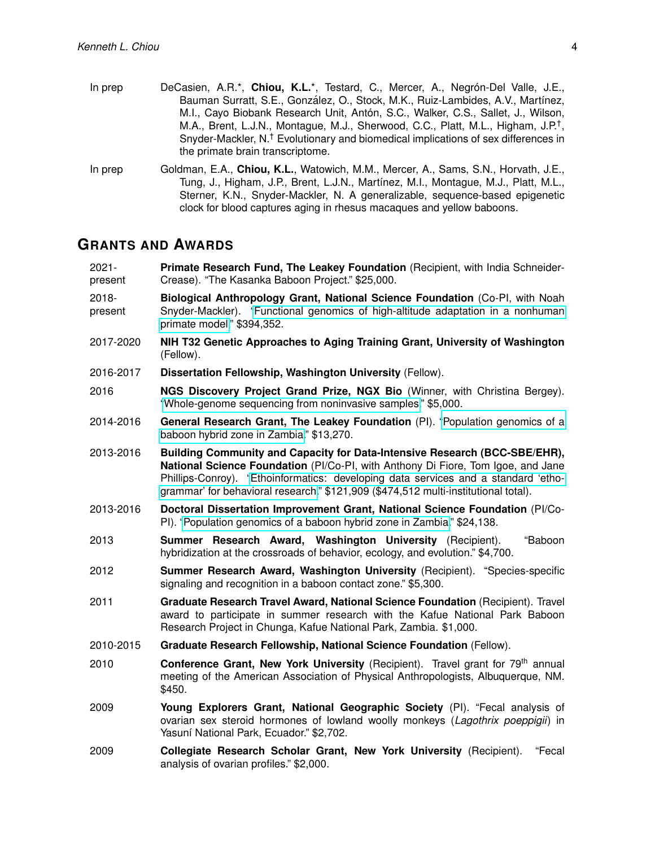- In prep DeCasien, A.R.\*, Chiou, K.L.\*, Testard, C., Mercer, A., Negrón-Del Valle, J.E., Bauman Surratt, S.E., González, O., Stock, M.K., Ruiz-Lambides, A.V., Martínez, M.I., Cayo Biobank Research Unit, Antón, S.C., Walker, C.S., Sallet, J., Wilson, M.A., Brent, L.J.N., Montague, M.J., Sherwood, C.C., Platt, M.L., Higham, J.P.<sup>†</sup>, Snyder-Mackler, N.† Evolutionary and biomedical implications of sex differences in the primate brain transcriptome.
- In prep Goldman, E.A., **Chiou, K.L.**, Watowich, M.M., Mercer, A., Sams, S.N., Horvath, J.E., Tung, J., Higham, J.P., Brent, L.J.N., Martínez, M.I., Montague, M.J., Platt, M.L., Sterner, K.N., Snyder-Mackler, N. A generalizable, sequence-based epigenetic clock for blood captures aging in rhesus macaques and yellow baboons.

#### **GRANTS AND AWARDS**

- 2021 present **Primate Research Fund, The Leakey Foundation** (Recipient, with India Schneider-Crease). "The Kasanka Baboon Project." \$25,000. 2018- **Biological Anthropology Grant, National Science Foundation** (Co-PI, with Noah
- present Snyder-Mackler). ["Functional genomics of high-altitude adaptation in a nonhuman](https://www.nsf.gov/awardsearch/showAward?AWD_ID=2010309) [primate model.](https://www.nsf.gov/awardsearch/showAward?AWD_ID=2010309)" \$394,352.
- 2017-2020 **NIH T32 Genetic Approaches to Aging Training Grant, University of Washington** (Fellow).
- 2016-2017 **Dissertation Fellowship, Washington University** (Fellow).
- 2016 **NGS Discovery Project Grand Prize, NGX Bio** (Winner, with Christina Bergey). ["Whole-genome sequencing from noninvasive samples.](https://ngxbio.com/blog/post/ngs-discovery-funding-contest)" \$5,000.
- 2014-2016 **General Research Grant, The Leakey Foundation** (PI). ["Population genomics of a](https://leakeyfoundation.org/wp-content/uploads/2014/01/AnthroQuest-Vol.-2-No.-29-Winter-Spring2014.pdf) [baboon hybrid zone in Zambia.](https://leakeyfoundation.org/wp-content/uploads/2014/01/AnthroQuest-Vol.-2-No.-29-Winter-Spring2014.pdf)" \$13,270.
- 2013-2016 **Building Community and Capacity for Data-Intensive Research (BCC-SBE/EHR), National Science Foundation** (PI/Co-PI, with Anthony Di Fiore, Tom Igoe, and Jane Phillips-Conroy). ["Ethoinformatics: developing data services and a standard 'etho](https://www.nsf.gov/awardsearch/showAward?AWD_ID=1338524)[grammar' for behavioral research.](https://www.nsf.gov/awardsearch/showAward?AWD_ID=1338524)" \$121,909 (\$474,512 multi-institutional total).
- 2013-2016 **Doctoral Dissertation Improvement Grant, National Science Foundation** (PI/Co-PI). ["Population genomics of a baboon hybrid zone in Zambia.](https://www.nsf.gov/awardsearch/showAward?AWD_ID=1341018)" \$24,138.
- 2013 **Summer Research Award, Washington University** (Recipient). "Baboon hybridization at the crossroads of behavior, ecology, and evolution." \$4,700.
- 2012 **Summer Research Award, Washington University** (Recipient). "Species-specific signaling and recognition in a baboon contact zone." \$5,300.
- 2011 **Graduate Research Travel Award, National Science Foundation** (Recipient). Travel award to participate in summer research with the Kafue National Park Baboon Research Project in Chunga, Kafue National Park, Zambia. \$1,000.
- 2010-2015 **Graduate Research Fellowship, National Science Foundation** (Fellow).
- 2010 **Conference Grant, New York University** (Recipient). Travel grant for 79th annual meeting of the American Association of Physical Anthropologists, Albuquerque, NM. \$450.
- 2009 **Young Explorers Grant, National Geographic Society** (PI). "Fecal analysis of ovarian sex steroid hormones of lowland woolly monkeys (*Lagothrix poeppigii*) in Yasuní National Park, Ecuador." \$2,702.
- 2009 **Collegiate Research Scholar Grant, New York University** (Recipient). "Fecal analysis of ovarian profiles." \$2,000.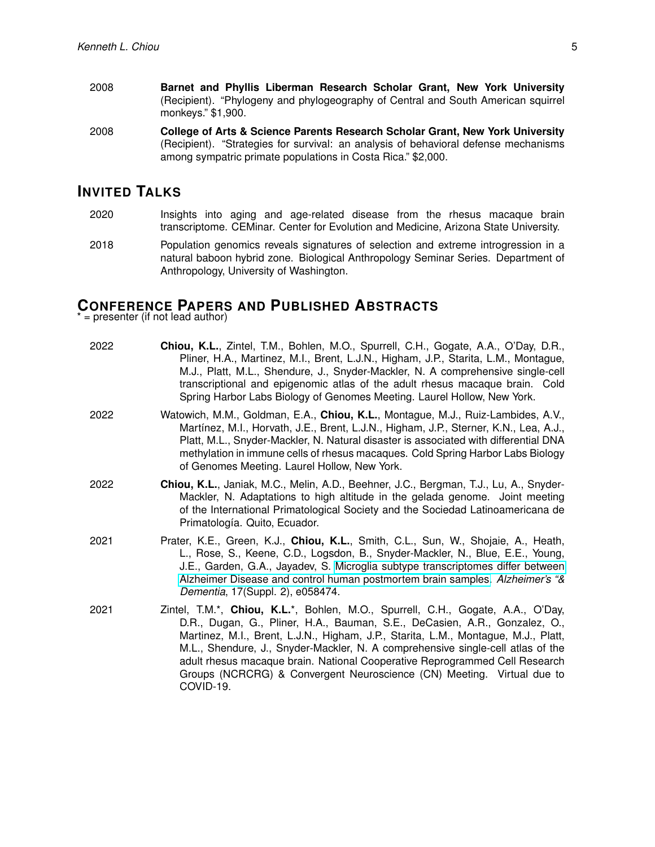- 2008 **Barnet and Phyllis Liberman Research Scholar Grant, New York University** (Recipient). "Phylogeny and phylogeography of Central and South American squirrel monkeys." \$1,900.
- 2008 **College of Arts & Science Parents Research Scholar Grant, New York University** (Recipient). "Strategies for survival: an analysis of behavioral defense mechanisms among sympatric primate populations in Costa Rica." \$2,000.

### **INVITED TALKS**

- 2020 Insights into aging and age-related disease from the rhesus macaque brain transcriptome. CEMinar. Center for Evolution and Medicine, Arizona State University.
- 2018 Population genomics reveals signatures of selection and extreme introgression in a natural baboon hybrid zone. Biological Anthropology Seminar Series. Department of Anthropology, University of Washington.

# **CONFERENCE PAPERS AND PUBLISHED ABSTRACTS**

 $=$  presenter (if not lead author)

| 2022 | Chiou, K.L., Zintel, T.M., Bohlen, M.O., Spurrell, C.H., Gogate, A.A., O'Day, D.R.,<br>Pliner, H.A., Martinez, M.I., Brent, L.J.N., Higham, J.P., Starita, L.M., Montague,<br>M.J., Platt, M.L., Shendure, J., Snyder-Mackler, N. A comprehensive single-cell<br>transcriptional and epigenomic atlas of the adult rhesus macaque brain. Cold<br>Spring Harbor Labs Biology of Genomes Meeting. Laurel Hollow, New York.                                                                                     |
|------|--------------------------------------------------------------------------------------------------------------------------------------------------------------------------------------------------------------------------------------------------------------------------------------------------------------------------------------------------------------------------------------------------------------------------------------------------------------------------------------------------------------|
| 2022 | Watowich, M.M., Goldman, E.A., Chiou, K.L., Montague, M.J., Ruiz-Lambides, A.V.,<br>Martínez, M.I., Horvath, J.E., Brent, L.J.N., Higham, J.P., Sterner, K.N., Lea, A.J.,<br>Platt, M.L., Snyder-Mackler, N. Natural disaster is associated with differential DNA<br>methylation in immune cells of rhesus macaques. Cold Spring Harbor Labs Biology<br>of Genomes Meeting. Laurel Hollow, New York.                                                                                                         |
| 2022 | Chiou, K.L., Janiak, M.C., Melin, A.D., Beehner, J.C., Bergman, T.J., Lu, A., Snyder-<br>Mackler, N. Adaptations to high altitude in the gelada genome. Joint meeting<br>of the International Primatological Society and the Sociedad Latinoamericana de<br>Primatología. Quito, Ecuador.                                                                                                                                                                                                                    |
| 2021 | Prater, K.E., Green, K.J., Chiou, K.L., Smith, C.L., Sun, W., Shojaie, A., Heath,<br>L., Rose, S., Keene, C.D., Logsdon, B., Snyder-Mackler, N., Blue, E.E., Young,<br>J.E., Garden, G.A., Jayadev, S. Microglia subtype transcriptomes differ between<br>Alzheimer Disease and control human postmortem brain samples. Alzheimer's "&<br>Dementia, 17(Suppl. 2), e058474.                                                                                                                                   |
| 2021 | Zintel, T.M.*, Chiou, K.L.*, Bohlen, M.O., Spurrell, C.H., Gogate, A.A., O'Day,<br>D.R., Dugan, G., Pliner, H.A., Bauman, S.E., DeCasien, A.R., Gonzalez, O.,<br>Martinez, M.I., Brent, L.J.N., Higham, J.P., Starita, L.M., Montague, M.J., Platt,<br>M.L., Shendure, J., Snyder-Mackler, N. A comprehensive single-cell atlas of the<br>adult rhesus macaque brain. National Cooperative Reprogrammed Cell Research<br>Groups (NCRCRG) & Convergent Neuroscience (CN) Meeting. Virtual due to<br>COVID-19. |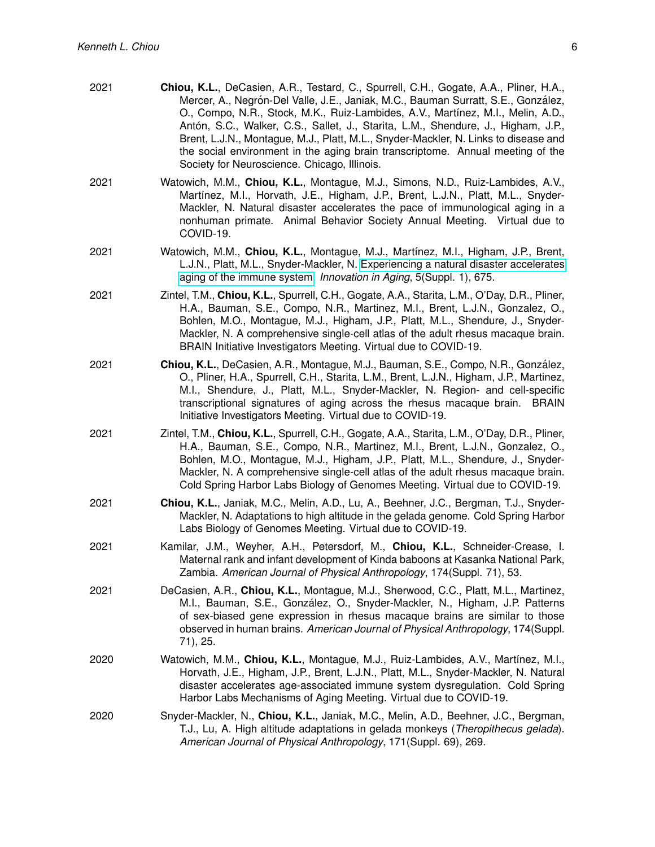| 2021 | Chiou, K.L., DeCasien, A.R., Testard, C., Spurrell, C.H., Gogate, A.A., Pliner, H.A.,<br>Mercer, A., Negrón-Del Valle, J.E., Janiak, M.C., Bauman Surratt, S.E., González,<br>O., Compo, N.R., Stock, M.K., Ruiz-Lambides, A.V., Martínez, M.I., Melin, A.D.,<br>Antón, S.C., Walker, C.S., Sallet, J., Starita, L.M., Shendure, J., Higham, J.P.,<br>Brent, L.J.N., Montague, M.J., Platt, M.L., Snyder-Mackler, N. Links to disease and<br>the social environment in the aging brain transcriptome. Annual meeting of the<br>Society for Neuroscience. Chicago, Illinois. |
|------|-----------------------------------------------------------------------------------------------------------------------------------------------------------------------------------------------------------------------------------------------------------------------------------------------------------------------------------------------------------------------------------------------------------------------------------------------------------------------------------------------------------------------------------------------------------------------------|
| 2021 | Watowich, M.M., Chiou, K.L., Montague, M.J., Simons, N.D., Ruiz-Lambides, A.V.,<br>Martínez, M.I., Horvath, J.E., Higham, J.P., Brent, L.J.N., Platt, M.L., Snyder-<br>Mackler, N. Natural disaster accelerates the pace of immunological aging in a<br>nonhuman primate. Animal Behavior Society Annual Meeting. Virtual due to<br>COVID-19.                                                                                                                                                                                                                               |
| 2021 | Watowich, M.M., Chiou, K.L., Montague, M.J., Martínez, M.I., Higham, J.P., Brent,<br>L.J.N., Platt, M.L., Snyder-Mackler, N. Experiencing a natural disaster accelerates<br>aging of the immune system. <i>Innovation in Aging</i> , 5(Suppl. 1), 675.                                                                                                                                                                                                                                                                                                                      |
| 2021 | Zintel, T.M., Chiou, K.L., Spurrell, C.H., Gogate, A.A., Starita, L.M., O'Day, D.R., Pliner,<br>H.A., Bauman, S.E., Compo, N.R., Martinez, M.I., Brent, L.J.N., Gonzalez, O.,<br>Bohlen, M.O., Montague, M.J., Higham, J.P., Platt, M.L., Shendure, J., Snyder-<br>Mackler, N. A comprehensive single-cell atlas of the adult rhesus macaque brain.<br>BRAIN Initiative Investigators Meeting. Virtual due to COVID-19.                                                                                                                                                     |
| 2021 | Chiou, K.L., DeCasien, A.R., Montague, M.J., Bauman, S.E., Compo, N.R., González,<br>O., Pliner, H.A., Spurrell, C.H., Starita, L.M., Brent, L.J.N., Higham, J.P., Martinez,<br>M.I., Shendure, J., Platt, M.L., Snyder-Mackler, N. Region- and cell-specific<br>transcriptional signatures of aging across the rhesus macaque brain.<br><b>BRAIN</b><br>Initiative Investigators Meeting. Virtual due to COVID-19.                                                                                                                                                         |
| 2021 | Zintel, T.M., Chiou, K.L., Spurrell, C.H., Gogate, A.A., Starita, L.M., O'Day, D.R., Pliner,<br>H.A., Bauman, S.E., Compo, N.R., Martinez, M.I., Brent, L.J.N., Gonzalez, O.,<br>Bohlen, M.O., Montague, M.J., Higham, J.P., Platt, M.L., Shendure, J., Snyder-<br>Mackler, N. A comprehensive single-cell atlas of the adult rhesus macaque brain.<br>Cold Spring Harbor Labs Biology of Genomes Meeting. Virtual due to COVID-19.                                                                                                                                         |
| 2021 | Chiou, K.L., Janiak, M.C., Melin, A.D., Lu, A., Beehner, J.C., Bergman, T.J., Snyder-<br>Mackler, N. Adaptations to high altitude in the gelada genome. Cold Spring Harbor<br>Labs Biology of Genomes Meeting. Virtual due to COVID-19.                                                                                                                                                                                                                                                                                                                                     |
| 2021 | Kamilar, J.M., Weyher, A.H., Petersdorf, M., Chiou, K.L., Schneider-Crease, I.<br>Maternal rank and infant development of Kinda baboons at Kasanka National Park,<br>Zambia. American Journal of Physical Anthropology, 174(Suppl. 71), 53.                                                                                                                                                                                                                                                                                                                                 |
| 2021 | DeCasien, A.R., Chiou, K.L., Montague, M.J., Sherwood, C.C., Platt, M.L., Martinez,<br>M.I., Bauman, S.E., González, O., Snyder-Mackler, N., Higham, J.P. Patterns<br>of sex-biased gene expression in rhesus macaque brains are similar to those<br>observed in human brains. American Journal of Physical Anthropology, 174(Suppl.<br>71), 25.                                                                                                                                                                                                                            |
| 2020 | Watowich, M.M., Chiou, K.L., Montague, M.J., Ruiz-Lambides, A.V., Martínez, M.I.,<br>Horvath, J.E., Higham, J.P., Brent, L.J.N., Platt, M.L., Snyder-Mackler, N. Natural<br>disaster accelerates age-associated immune system dysregulation. Cold Spring<br>Harbor Labs Mechanisms of Aging Meeting. Virtual due to COVID-19.                                                                                                                                                                                                                                               |
| 2020 | Snyder-Mackler, N., Chiou, K.L., Janiak, M.C., Melin, A.D., Beehner, J.C., Bergman,<br>T.J., Lu, A. High altitude adaptations in gelada monkeys (Theropithecus gelada).<br>American Journal of Physical Anthropology, 171(Suppl. 69), 269.                                                                                                                                                                                                                                                                                                                                  |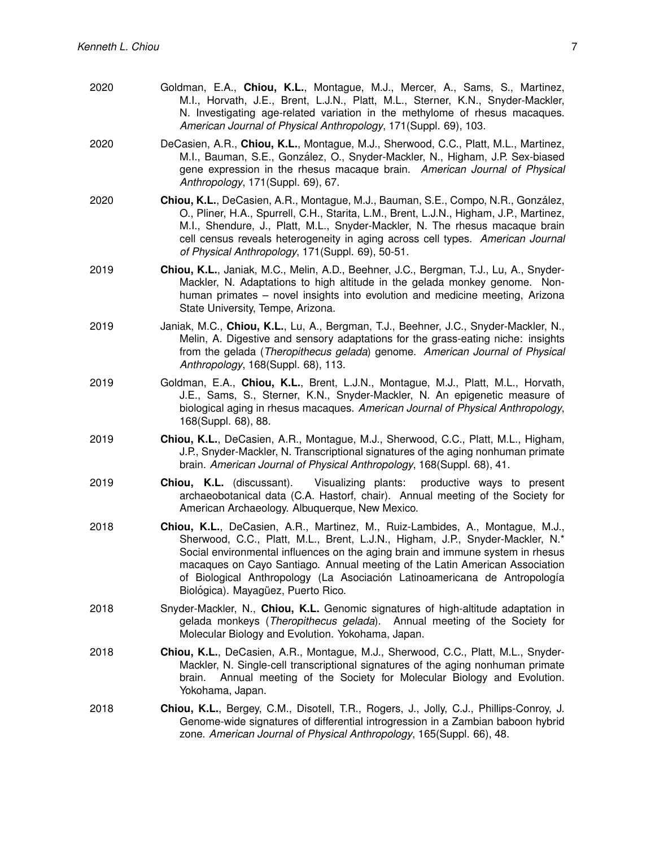| 2020 | Goldman, E.A., Chiou, K.L., Montague, M.J., Mercer, A., Sams, S., Martinez,<br>M.I., Horvath, J.E., Brent, L.J.N., Platt, M.L., Sterner, K.N., Snyder-Mackler,<br>N. Investigating age-related variation in the methylome of rhesus macaques.<br>American Journal of Physical Anthropology, 171 (Suppl. 69), 103.                                                                                                                                  |
|------|----------------------------------------------------------------------------------------------------------------------------------------------------------------------------------------------------------------------------------------------------------------------------------------------------------------------------------------------------------------------------------------------------------------------------------------------------|
| 2020 | DeCasien, A.R., Chiou, K.L., Montague, M.J., Sherwood, C.C., Platt, M.L., Martinez,<br>M.I., Bauman, S.E., González, O., Snyder-Mackler, N., Higham, J.P. Sex-biased<br>gene expression in the rhesus macaque brain. American Journal of Physical<br>Anthropology, 171(Suppl. 69), 67.                                                                                                                                                             |
| 2020 | Chiou, K.L., DeCasien, A.R., Montague, M.J., Bauman, S.E., Compo, N.R., González,<br>O., Pliner, H.A., Spurrell, C.H., Starita, L.M., Brent, L.J.N., Higham, J.P., Martinez,<br>M.I., Shendure, J., Platt, M.L., Snyder-Mackler, N. The rhesus macaque brain<br>cell census reveals heterogeneity in aging across cell types. American Journal<br>of Physical Anthropology, 171(Suppl. 69), 50-51.                                                 |
| 2019 | Chiou, K.L., Janiak, M.C., Melin, A.D., Beehner, J.C., Bergman, T.J., Lu, A., Snyder-<br>Mackler, N. Adaptations to high altitude in the gelada monkey genome. Non-<br>human primates – novel insights into evolution and medicine meeting, Arizona<br>State University, Tempe, Arizona.                                                                                                                                                           |
| 2019 | Janiak, M.C., Chiou, K.L., Lu, A., Bergman, T.J., Beehner, J.C., Snyder-Mackler, N.,<br>Melin, A. Digestive and sensory adaptations for the grass-eating niche: insights<br>from the gelada (Theropithecus gelada) genome. American Journal of Physical<br>Anthropology, 168(Suppl. 68), 113.                                                                                                                                                      |
| 2019 | Goldman, E.A., Chiou, K.L., Brent, L.J.N., Montague, M.J., Platt, M.L., Horvath,<br>J.E., Sams, S., Sterner, K.N., Snyder-Mackler, N. An epigenetic measure of<br>biological aging in rhesus macaques. American Journal of Physical Anthropology,<br>168(Suppl. 68), 88.                                                                                                                                                                           |
| 2019 | Chiou, K.L., DeCasien, A.R., Montague, M.J., Sherwood, C.C., Platt, M.L., Higham,<br>J.P., Snyder-Mackler, N. Transcriptional signatures of the aging nonhuman primate<br>brain. American Journal of Physical Anthropology, 168(Suppl. 68), 41.                                                                                                                                                                                                    |
| 2019 | Visualizing plants:<br><b>Chiou, K.L.</b> (discussant).<br>productive ways to present<br>archaeobotanical data (C.A. Hastorf, chair). Annual meeting of the Society for<br>American Archaeology. Albuquerque, New Mexico.                                                                                                                                                                                                                          |
| 2018 | Chiou, K.L., DeCasien, A.R., Martinez, M., Ruiz-Lambides, A., Montague, M.J.,<br>Sherwood, C.C., Platt, M.L., Brent, L.J.N., Higham, J.P., Snyder-Mackler, N.*<br>Social environmental influences on the aging brain and immune system in rhesus<br>macaques on Cayo Santiago. Annual meeting of the Latin American Association<br>of Biological Anthropology (La Asociación Latinoamericana de Antropología<br>Biológica). Mayagüez, Puerto Rico. |
| 2018 | Snyder-Mackler, N., Chiou, K.L. Genomic signatures of high-altitude adaptation in<br>gelada monkeys (Theropithecus gelada). Annual meeting of the Society for<br>Molecular Biology and Evolution. Yokohama, Japan.                                                                                                                                                                                                                                 |
| 2018 | Chiou, K.L., DeCasien, A.R., Montague, M.J., Sherwood, C.C., Platt, M.L., Snyder-<br>Mackler, N. Single-cell transcriptional signatures of the aging nonhuman primate<br>Annual meeting of the Society for Molecular Biology and Evolution.<br>brain.<br>Yokohama, Japan.                                                                                                                                                                          |
| 2018 | Chiou, K.L., Bergey, C.M., Disotell, T.R., Rogers, J., Jolly, C.J., Phillips-Conroy, J.<br>Genome-wide signatures of differential introgression in a Zambian baboon hybrid<br>zone. American Journal of Physical Anthropology, 165(Suppl. 66), 48.                                                                                                                                                                                                 |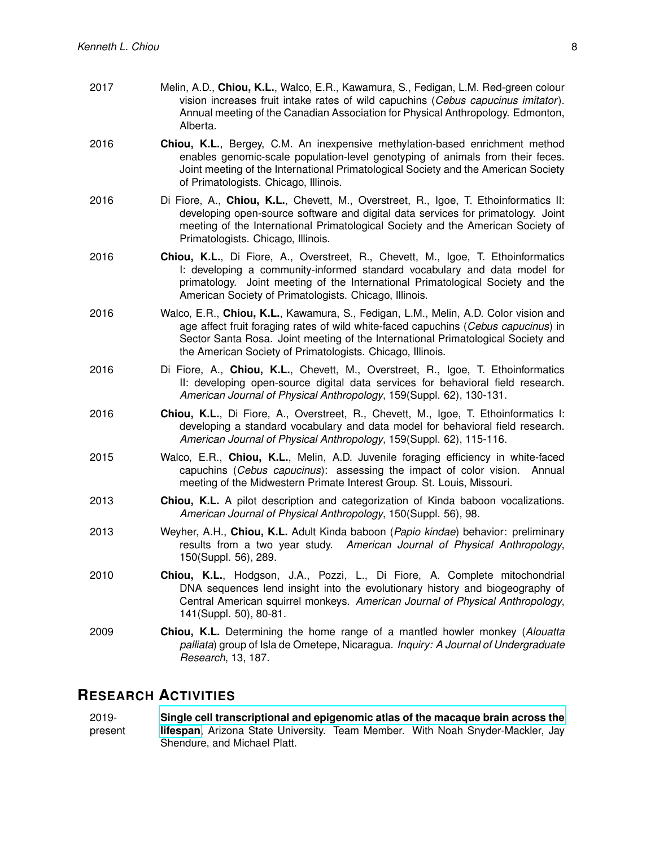| 2017 | Melin, A.D., Chiou, K.L., Walco, E.R., Kawamura, S., Fedigan, L.M. Red-green colour<br>vision increases fruit intake rates of wild capuchins (Cebus capucinus imitator).<br>Annual meeting of the Canadian Association for Physical Anthropology. Edmonton,<br>Alberta.                                                     |
|------|-----------------------------------------------------------------------------------------------------------------------------------------------------------------------------------------------------------------------------------------------------------------------------------------------------------------------------|
| 2016 | Chiou, K.L., Bergey, C.M. An inexpensive methylation-based enrichment method<br>enables genomic-scale population-level genotyping of animals from their feces.<br>Joint meeting of the International Primatological Society and the American Society<br>of Primatologists. Chicago, Illinois.                               |
| 2016 | Di Fiore, A., Chiou, K.L., Chevett, M., Overstreet, R., Igoe, T. Ethoinformatics II:<br>developing open-source software and digital data services for primatology. Joint<br>meeting of the International Primatological Society and the American Society of<br>Primatologists. Chicago, Illinois.                           |
| 2016 | <b>Chiou, K.L.,</b> Di Fiore, A., Overstreet, R., Chevett, M., Igoe, T. Ethoinformatics<br>I: developing a community-informed standard vocabulary and data model for<br>primatology. Joint meeting of the International Primatological Society and the<br>American Society of Primatologists. Chicago, Illinois.            |
| 2016 | Walco, E.R., Chiou, K.L., Kawamura, S., Fedigan, L.M., Melin, A.D. Color vision and<br>age affect fruit foraging rates of wild white-faced capuchins (Cebus capucinus) in<br>Sector Santa Rosa. Joint meeting of the International Primatological Society and<br>the American Society of Primatologists. Chicago, Illinois. |
| 2016 | Di Fiore, A., Chiou, K.L., Chevett, M., Overstreet, R., Igoe, T. Ethoinformatics<br>II: developing open-source digital data services for behavioral field research.<br>American Journal of Physical Anthropology, 159(Suppl. 62), 130-131.                                                                                  |
| 2016 | Chiou, K.L., Di Fiore, A., Overstreet, R., Chevett, M., Igoe, T. Ethoinformatics I:<br>developing a standard vocabulary and data model for behavioral field research.<br>American Journal of Physical Anthropology, 159(Suppl. 62), 115-116.                                                                                |
| 2015 | Walco, E.R., Chiou, K.L., Melin, A.D. Juvenile foraging efficiency in white-faced<br>capuchins (Cebus capucinus): assessing the impact of color vision.<br>Annual<br>meeting of the Midwestern Primate Interest Group. St. Louis, Missouri.                                                                                 |
| 2013 | Chiou, K.L. A pilot description and categorization of Kinda baboon vocalizations.<br>American Journal of Physical Anthropology, 150(Suppl. 56), 98.                                                                                                                                                                         |
| 2013 | Weyher, A.H., Chiou, K.L. Adult Kinda baboon (Papio kindae) behavior: preliminary<br>results from a two year study. American Journal of Physical Anthropology,<br>150(Suppl. 56), 289.                                                                                                                                      |
| 2010 | Chiou, K.L., Hodgson, J.A., Pozzi, L., Di Fiore, A. Complete mitochondrial<br>DNA sequences lend insight into the evolutionary history and biogeography of<br>Central American squirrel monkeys. American Journal of Physical Anthropology,<br>141(Suppl. 50), 80-81.                                                       |
| 2009 | Chiou, K.L. Determining the home range of a mantled howler monkey (Alouatta<br>palliata) group of Isla de Ometepe, Nicaragua. Inquiry: A Journal of Undergraduate<br>Research, 13, 187.                                                                                                                                     |

## **RESEARCH ACTIVITIES**

2019 present **[Single cell transcriptional and epigenomic atlas of the macaque brain across the](https://braininitiative.nih.gov/funded-awards/single-cell-transcriptional-and-epigenomic-atlas-macaque-brain-across-lifespan) [lifespan](https://braininitiative.nih.gov/funded-awards/single-cell-transcriptional-and-epigenomic-atlas-macaque-brain-across-lifespan)**, Arizona State University. Team Member. With Noah Snyder-Mackler, Jay Shendure, and Michael Platt.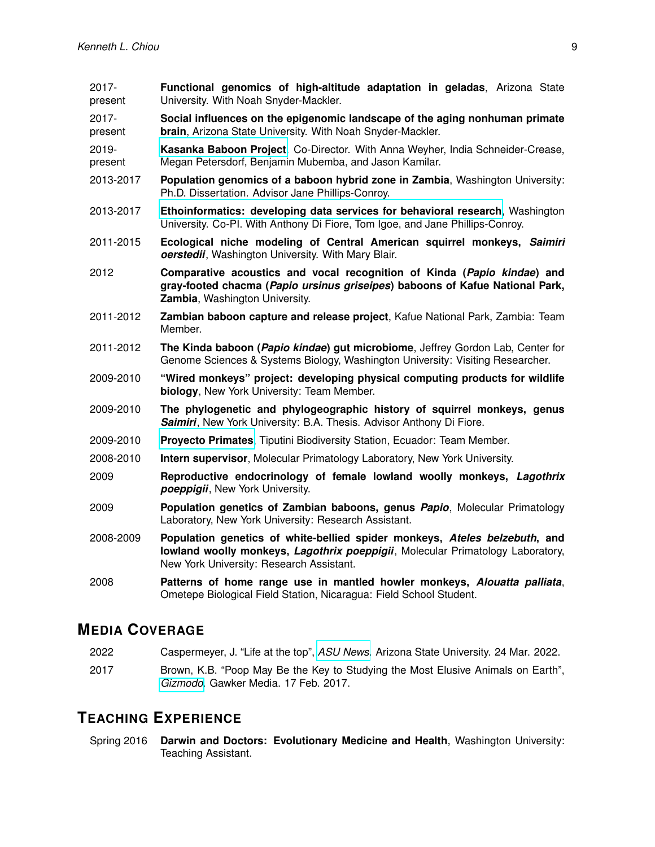| 2017-<br>present    | Functional genomics of high-altitude adaptation in geladas, Arizona State<br>University. With Noah Snyder-Mackler.                                                                                       |
|---------------------|----------------------------------------------------------------------------------------------------------------------------------------------------------------------------------------------------------|
| $2017 -$<br>present | Social influences on the epigenomic landscape of the aging nonhuman primate<br>brain, Arizona State University. With Noah Snyder-Mackler.                                                                |
| 2019-<br>present    | Kasanka Baboon Project. Co-Director. With Anna Weyher, India Schneider-Crease,<br>Megan Petersdorf, Benjamin Mubemba, and Jason Kamilar.                                                                 |
| 2013-2017           | Population genomics of a baboon hybrid zone in Zambia, Washington University:<br>Ph.D. Dissertation. Advisor Jane Phillips-Conroy.                                                                       |
| 2013-2017           | Ethoinformatics: developing data services for behavioral research, Washington<br>University. Co-PI. With Anthony Di Fiore, Tom Igoe, and Jane Phillips-Conroy.                                           |
| 2011-2015           | Ecological niche modeling of Central American squirrel monkeys, Saimiri<br>oerstedii, Washington University. With Mary Blair.                                                                            |
| 2012                | Comparative acoustics and vocal recognition of Kinda (Papio kindae) and<br>gray-footed chacma (Papio ursinus griseipes) baboons of Kafue National Park,<br>Zambia, Washington University.                |
| 2011-2012           | Zambian baboon capture and release project, Kafue National Park, Zambia: Team<br>Member.                                                                                                                 |
| 2011-2012           | The Kinda baboon (Papio kindae) gut microbiome, Jeffrey Gordon Lab, Center for<br>Genome Sciences & Systems Biology, Washington University: Visiting Researcher.                                         |
| 2009-2010           | "Wired monkeys" project: developing physical computing products for wildlife<br>biology, New York University: Team Member.                                                                               |
| 2009-2010           | The phylogenetic and phylogeographic history of squirrel monkeys, genus<br>Saimiri, New York University: B.A. Thesis. Advisor Anthony Di Fiore.                                                          |
| 2009-2010           | Proyecto Primates, Tiputini Biodiversity Station, Ecuador: Team Member.                                                                                                                                  |
| 2008-2010           | Intern supervisor, Molecular Primatology Laboratory, New York University.                                                                                                                                |
| 2009                | Reproductive endocrinology of female lowland woolly monkeys, Lagothrix<br>poeppigii, New York University.                                                                                                |
| 2009                | Population genetics of Zambian baboons, genus Papio, Molecular Primatology<br>Laboratory, New York University: Research Assistant.                                                                       |
| 2008-2009           | Population genetics of white-bellied spider monkeys, Ateles belzebuth, and<br>lowland woolly monkeys, Lagothrix poeppigii, Molecular Primatology Laboratory,<br>New York University: Research Assistant. |
| 2008                | Patterns of home range use in mantled howler monkeys, Alouatta palliata,<br>Ometepe Biological Field Station, Nicaragua: Field School Student.                                                           |

# **MEDIA COVERAGE**

- 2022 Caspermeyer, J. "Life at the top", *[ASU News](https://news.asu.edu/20220324-discoveries-life-top)*. Arizona State University. 24 Mar. 2022.
- 2017 Brown, K.B. "Poop May Be the Key to Studying the Most Elusive Animals on Earth", *[Gizmodo](http://gizmodo.com/poop-may-be-the-key-to-studying-the-most-elusive-animal-1792486144)*. Gawker Media. 17 Feb. 2017.

### **TEACHING EXPERIENCE**

Spring 2016 **Darwin and Doctors: Evolutionary Medicine and Health**, Washington University: Teaching Assistant.